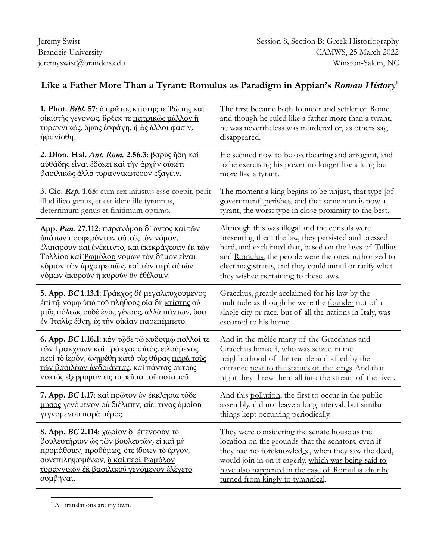## **Like a Father More Than a Tyrant: Romulus as Paradigm in Appian's** *Roman History* **1**

| 1. Phot. Bibl. 57: ο πρώτος κτίστης τε Ρώμης καί       | The first became both founder and settler of Rome         |
|--------------------------------------------------------|-----------------------------------------------------------|
| οίκιστής γεγονώς, άρξας τε πατρικώς μάλλον ή           | and though he ruled like a father more than a tyrant,     |
| τυραννικώς, όμως έσφάγη, ή ως άλλοι φασίν,             | he was nevertheless was murdered or, as others say,       |
| ηφανίσθη.                                              | disappeared.                                              |
| 2. Dion. Hal. Ant. Rom. 2.56.3: βαρύς ήδη καί          | He seemed now to be overbearing and arrogant, and         |
| αὐθάδης εἶναι ἐδόκει καὶ τὴν ἀρχὴν <u>οὐκέτι</u>       | to be exercising his power no longer like a king but      |
| βασιλικώς άλλά τυραννικώτερον έξάγειν.                 | more like a tyrant.                                       |
| 3. Cic. Rep. 1.65: cum rex iniustus esse coepit, perit | The moment a king begins to be unjust, that type [of      |
| illud ilico genus, et est idem ille tyrannus,          | government] perishes, and that same man is now a          |
| deterrimum genus et finitimum optimo.                  | tyrant, the worst type in close proximity to the best.    |
| App. Pun. 27.112: παρανόμου δ' όντος και των           | Although this was illegal and the consuls were            |
| ύπάτων προφερόντων αύτοις τον νόμον,                   | presenting them the law, they persisted and pressed       |
| έλιπάρουν και ένέκειντο, και έκεκράγεσαν έκ των        | hard, and exclaimed that, based on the laws of Tullius    |
| Τυλλίου καὶ <u>Ῥωμύλου</u> νόμων τὸν δῆμον εἶναι       | and Romulus, the people were the ones authorized to       |
| κύριον των άρχαιρεσιών, και των περί αύτων             | elect magistrates, and they could annul or ratify what    |
| νόμων άκυροῦν ἢ κυροῦν ὃν ἐθέλοιεν.                    | they wished pertaining to these laws.                     |
| 5. App. BC 1.13.1: Γράκχος δε μεγαλαυχούμενος          | Gracchus, greatly acclaimed for his law by the            |
| έπι τῷ νόμφ ύπὸ τοῦ πλήθους οἶα δὴ κτίστης οὐ          | multitude as though he were the founder not of a          |
| μιᾶς πόλεως ούδε ένὸς γένους, άλλα πάντων, ὅσα         | single city or race, but of all the nations in Italy, was |
| έν Ίταλία έθνη, ές την οίκίαν παρεπέμπετο.             | escorted to his home.                                     |
| 6. App. BC 1.16.1: κάν τῷδε τῷ κυδοιμῷ πολλοί τε       | And in the mêlée many of the Gracchans and                |
| τών Γρακχείων και Γράκχος αύτός, είλούμενος            | Gracchus himself, who was seized in the                   |
| περί τὸ ιερόν, άνηρέθη κατά τὰς θύρας παρά τούς        | neighborhood of the temple and killed by the              |
| τῶν βασιλέων άνδριάντας. και πάντας αύτους             | entrance next to the statues of the kings And that        |
| νυκτός έξέρριψαν είς το ρεΰμα τοῦ ποταμοῦ.             | night they threw them all into the stream of the river.   |
| 7. App. BC 1.17: και πρώτον έν έκκλησία τόδε           | And this pollution, the first to occur in the public      |
| μύσος γενόμενον ού διέλιπεν, αίεί τινος όμοίου         | assembly, did not leave a long interval, but similar      |
| γιγνομένου παρά μέρος.                                 | things kept occurring periodically.                       |
| <b>8. App. BC 2.114</b> : χωρίον δ' έπενόουν τό        | They were considering the senate house as the             |
| βουλευτήριον ώς τῶν βουλευτῶν, εί καί μή               | location on the grounds that the senators, even if        |
| προμάθοιεν, προθύμως, ότε ίδοιεν τὸ ἔργον,             | they had no foreknowledge, when they saw the deed,        |
| συνεπιληψομένων, δ και περί Ρωμύλον                    | would join in on it eagerly, which was being said to      |
| τυραννικόν έκ βασιλικού γενόμενον έλέγετο              | have also happened in the case of Romulus after he        |
| συμβῆναι.                                              | turned from kingly to tyrannical.                         |

<sup>&</sup>lt;sup>1</sup> All translations are my own.